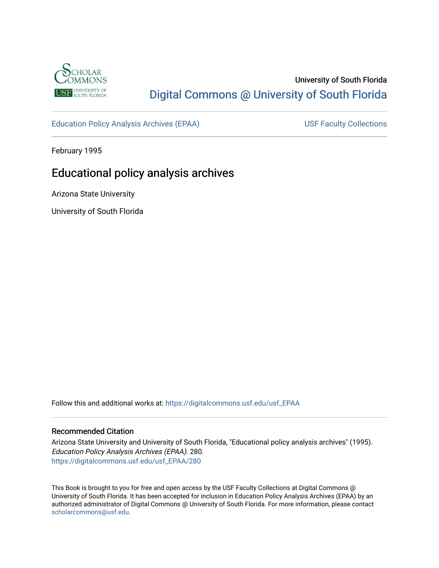

# University of South Florida [Digital Commons @ University of South Florida](https://digitalcommons.usf.edu/)

[Education Policy Analysis Archives \(EPAA\)](https://digitalcommons.usf.edu/usf_EPAA) USF Faculty Collections

February 1995

# Educational policy analysis archives

Arizona State University

University of South Florida

Follow this and additional works at: [https://digitalcommons.usf.edu/usf\\_EPAA](https://digitalcommons.usf.edu/usf_EPAA?utm_source=digitalcommons.usf.edu%2Fusf_EPAA%2F280&utm_medium=PDF&utm_campaign=PDFCoverPages)

## Recommended Citation

Arizona State University and University of South Florida, "Educational policy analysis archives" (1995). Education Policy Analysis Archives (EPAA). 280. [https://digitalcommons.usf.edu/usf\\_EPAA/280](https://digitalcommons.usf.edu/usf_EPAA/280?utm_source=digitalcommons.usf.edu%2Fusf_EPAA%2F280&utm_medium=PDF&utm_campaign=PDFCoverPages)

This Book is brought to you for free and open access by the USF Faculty Collections at Digital Commons @ University of South Florida. It has been accepted for inclusion in Education Policy Analysis Archives (EPAA) by an authorized administrator of Digital Commons @ University of South Florida. For more information, please contact [scholarcommons@usf.edu.](mailto:scholarcommons@usf.edu)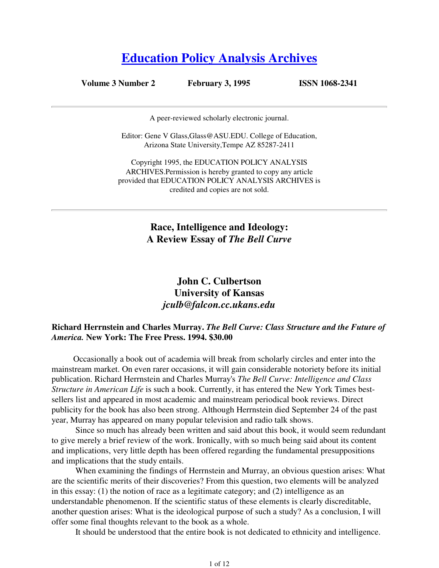# **Education Policy Analysis Archives**

**Volume 3 Number 2 February 3, 1995 ISSN 1068-2341**

A peer-reviewed scholarly electronic journal.

Editor: Gene V Glass,Glass@ASU.EDU. College of Education, Arizona State University,Tempe AZ 85287-2411

Copyright 1995, the EDUCATION POLICY ANALYSIS ARCHIVES.Permission is hereby granted to copy any article provided that EDUCATION POLICY ANALYSIS ARCHIVES is credited and copies are not sold.

> **Race, Intelligence and Ideology: A Review Essay of** *The Bell Curve*

# **John C. Culbertson University of Kansas** *jculb@falcon.cc.ukans.edu*

# **Richard Herrnstein and Charles Murray.** *The Bell Curve: Class Structure and the Future of America.* **New York: The Free Press. 1994. \$30.00**

Occasionally a book out of academia will break from scholarly circles and enter into the mainstream market. On even rarer occasions, it will gain considerable notoriety before its initial publication. Richard Herrnstein and Charles Murray's *The Bell Curve: Intelligence and Class Structure in American Life* is such a book. Currently, it has entered the New York Times bestsellers list and appeared in most academic and mainstream periodical book reviews. Direct publicity for the book has also been strong. Although Herrnstein died September 24 of the past year, Murray has appeared on many popular television and radio talk shows.

 Since so much has already been written and said about this book, it would seem redundant to give merely a brief review of the work. Ironically, with so much being said about its content and implications, very little depth has been offered regarding the fundamental presuppositions and implications that the study entails.

 When examining the findings of Herrnstein and Murray, an obvious question arises: What are the scientific merits of their discoveries? From this question, two elements will be analyzed in this essay: (1) the notion of race as a legitimate category; and (2) intelligence as an understandable phenomenon. If the scientific status of these elements is clearly discreditable, another question arises: What is the ideological purpose of such a study? As a conclusion, I will offer some final thoughts relevant to the book as a whole.

It should be understood that the entire book is not dedicated to ethnicity and intelligence.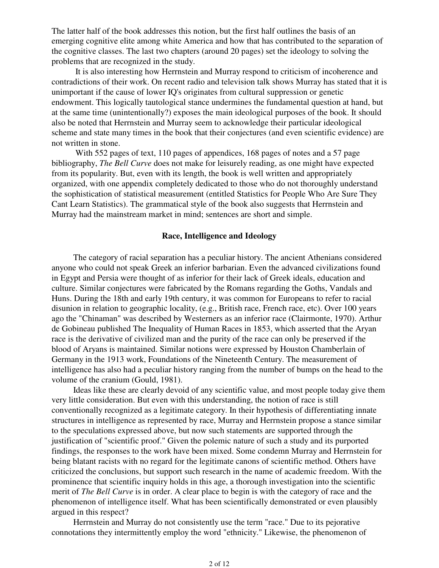The latter half of the book addresses this notion, but the first half outlines the basis of an emerging cognitive elite among white America and how that has contributed to the separation of the cognitive classes. The last two chapters (around 20 pages) set the ideology to solving the problems that are recognized in the study.

 It is also interesting how Herrnstein and Murray respond to criticism of incoherence and contradictions of their work. On recent radio and television talk shows Murray has stated that it is unimportant if the cause of lower IQ's originates from cultural suppression or genetic endowment. This logically tautological stance undermines the fundamental question at hand, but at the same time (unintentionally?) exposes the main ideological purposes of the book. It should also be noted that Herrnstein and Murray seem to acknowledge their particular ideological scheme and state many times in the book that their conjectures (and even scientific evidence) are not written in stone.

 With 552 pages of text, 110 pages of appendices, 168 pages of notes and a 57 page bibliography, *The Bell Curve* does not make for leisurely reading, as one might have expected from its popularity. But, even with its length, the book is well written and appropriately organized, with one appendix completely dedicated to those who do not thoroughly understand the sophistication of statistical measurement (entitled Statistics for People Who Are Sure They Cant Learn Statistics). The grammatical style of the book also suggests that Herrnstein and Murray had the mainstream market in mind; sentences are short and simple.

# **Race, Intelligence and Ideology**

The category of racial separation has a peculiar history. The ancient Athenians considered anyone who could not speak Greek an inferior barbarian. Even the advanced civilizations found in Egypt and Persia were thought of as inferior for their lack of Greek ideals, education and culture. Similar conjectures were fabricated by the Romans regarding the Goths, Vandals and Huns. During the 18th and early 19th century, it was common for Europeans to refer to racial disunion in relation to geographic locality, (e.g., British race, French race, etc). Over 100 years ago the "Chinaman" was described by Westerners as an inferior race (Clairmonte, 1970). Arthur de Gobineau published The Inequality of Human Races in 1853, which asserted that the Aryan race is the derivative of civilized man and the purity of the race can only be preserved if the blood of Aryans is maintained. Similar notions were expressed by Houston Chamberlain of Germany in the 1913 work, Foundations of the Nineteenth Century. The measurement of intelligence has also had a peculiar history ranging from the number of bumps on the head to the volume of the cranium (Gould, 1981).

Ideas like these are clearly devoid of any scientific value, and most people today give them very little consideration. But even with this understanding, the notion of race is still conventionally recognized as a legitimate category. In their hypothesis of differentiating innate structures in intelligence as represented by race, Murray and Herrnstein propose a stance similar to the speculations expressed above, but now such statements are supported through the justification of "scientific proof." Given the polemic nature of such a study and its purported findings, the responses to the work have been mixed. Some condemn Murray and Herrnstein for being blatant racists with no regard for the legitimate canons of scientific method. Others have criticized the conclusions, but support such research in the name of academic freedom. With the prominence that scientific inquiry holds in this age, a thorough investigation into the scientific merit of *The Bell Curve* is in order. A clear place to begin is with the category of race and the phenomenon of intelligence itself. What has been scientifically demonstrated or even plausibly argued in this respect?

Herrnstein and Murray do not consistently use the term "race." Due to its pejorative connotations they intermittently employ the word "ethnicity." Likewise, the phenomenon of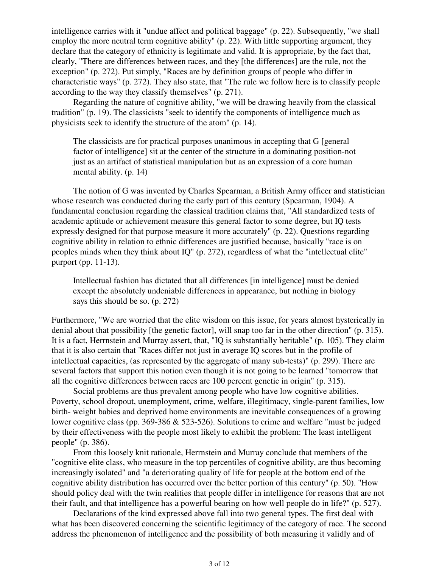intelligence carries with it "undue affect and political baggage" (p. 22). Subsequently, "we shall employ the more neutral term cognitive ability" (p. 22). With little supporting argument, they declare that the category of ethnicity is legitimate and valid. It is appropriate, by the fact that, clearly, "There are differences between races, and they [the differences] are the rule, not the exception" (p. 272). Put simply, "Races are by definition groups of people who differ in characteristic ways" (p. 272). They also state, that "The rule we follow here is to classify people according to the way they classify themselves" (p. 271).

Regarding the nature of cognitive ability, "we will be drawing heavily from the classical tradition" (p. 19). The classicists "seek to identify the components of intelligence much as physicists seek to identify the structure of the atom" (p. 14).

The classicists are for practical purposes unanimous in accepting that G [general factor of intelligence] sit at the center of the structure in a dominating position-not just as an artifact of statistical manipulation but as an expression of a core human mental ability. (p. 14)

The notion of G was invented by Charles Spearman, a British Army officer and statistician whose research was conducted during the early part of this century (Spearman, 1904). A fundamental conclusion regarding the classical tradition claims that, "All standardized tests of academic aptitude or achievement measure this general factor to some degree, but IQ tests expressly designed for that purpose measure it more accurately" (p. 22). Questions regarding cognitive ability in relation to ethnic differences are justified because, basically "race is on peoples minds when they think about IQ" (p. 272), regardless of what the "intellectual elite" purport (pp. 11-13).

Intellectual fashion has dictated that all differences [in intelligence] must be denied except the absolutely undeniable differences in appearance, but nothing in biology says this should be so. (p. 272)

Furthermore, "We are worried that the elite wisdom on this issue, for years almost hysterically in denial about that possibility [the genetic factor], will snap too far in the other direction" (p. 315). It is a fact, Herrnstein and Murray assert, that, "IQ is substantially heritable" (p. 105). They claim that it is also certain that "Races differ not just in average IQ scores but in the profile of intellectual capacities, (as represented by the aggregate of many sub-tests)" (p. 299). There are several factors that support this notion even though it is not going to be learned "tomorrow that all the cognitive differences between races are 100 percent genetic in origin" (p. 315).

Social problems are thus prevalent among people who have low cognitive abilities. Poverty, school dropout, unemployment, crime, welfare, illegitimacy, single-parent families, low birth- weight babies and deprived home environments are inevitable consequences of a growing lower cognitive class (pp. 369-386 & 523-526). Solutions to crime and welfare "must be judged by their effectiveness with the people most likely to exhibit the problem: The least intelligent people" (p. 386).

From this loosely knit rationale, Herrnstein and Murray conclude that members of the "cognitive elite class, who measure in the top percentiles of cognitive ability, are thus becoming increasingly isolated" and "a deteriorating quality of life for people at the bottom end of the cognitive ability distribution has occurred over the better portion of this century" (p. 50). "How should policy deal with the twin realities that people differ in intelligence for reasons that are not their fault, and that intelligence has a powerful bearing on how well people do in life?" (p. 527).

Declarations of the kind expressed above fall into two general types. The first deal with what has been discovered concerning the scientific legitimacy of the category of race. The second address the phenomenon of intelligence and the possibility of both measuring it validly and of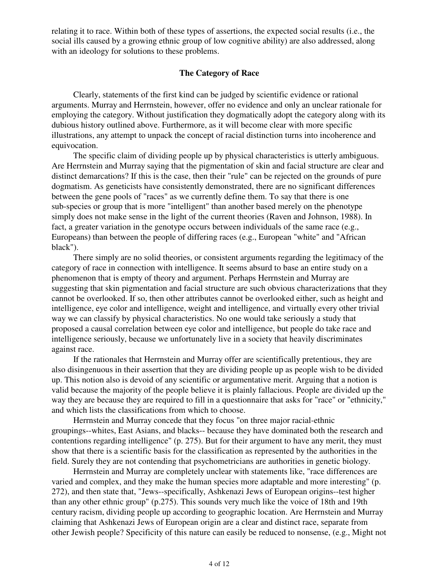relating it to race. Within both of these types of assertions, the expected social results (i.e., the social ills caused by a growing ethnic group of low cognitive ability) are also addressed, along with an ideology for solutions to these problems.

# **The Category of Race**

Clearly, statements of the first kind can be judged by scientific evidence or rational arguments. Murray and Herrnstein, however, offer no evidence and only an unclear rationale for employing the category. Without justification they dogmatically adopt the category along with its dubious history outlined above. Furthermore, as it will become clear with more specific illustrations, any attempt to unpack the concept of racial distinction turns into incoherence and equivocation.

The specific claim of dividing people up by physical characteristics is utterly ambiguous. Are Herrnstein and Murray saying that the pigmentation of skin and facial structure are clear and distinct demarcations? If this is the case, then their "rule" can be rejected on the grounds of pure dogmatism. As geneticists have consistently demonstrated, there are no significant differences between the gene pools of "races" as we currently define them. To say that there is one sub-species or group that is more "intelligent" than another based merely on the phenotype simply does not make sense in the light of the current theories (Raven and Johnson, 1988). In fact, a greater variation in the genotype occurs between individuals of the same race (e.g., Europeans) than between the people of differing races (e.g., European "white" and "African black").

There simply are no solid theories, or consistent arguments regarding the legitimacy of the category of race in connection with intelligence. It seems absurd to base an entire study on a phenomenon that is empty of theory and argument. Perhaps Herrnstein and Murray are suggesting that skin pigmentation and facial structure are such obvious characterizations that they cannot be overlooked. If so, then other attributes cannot be overlooked either, such as height and intelligence, eye color and intelligence, weight and intelligence, and virtually every other trivial way we can classify by physical characteristics. No one would take seriously a study that proposed a causal correlation between eye color and intelligence, but people do take race and intelligence seriously, because we unfortunately live in a society that heavily discriminates against race.

If the rationales that Herrnstein and Murray offer are scientifically pretentious, they are also disingenuous in their assertion that they are dividing people up as people wish to be divided up. This notion also is devoid of any scientific or argumentative merit. Arguing that a notion is valid because the majority of the people believe it is plainly fallacious. People are divided up the way they are because they are required to fill in a questionnaire that asks for "race" or "ethnicity," and which lists the classifications from which to choose.

Herrnstein and Murray concede that they focus "on three major racial-ethnic groupings--whites, East Asians, and blacks-- because they have dominated both the research and contentions regarding intelligence" (p. 275). But for their argument to have any merit, they must show that there is a scientific basis for the classification as represented by the authorities in the field. Surely they are not contending that psychometricians are authorities in genetic biology.

Herrnstein and Murray are completely unclear with statements like, "race differences are varied and complex, and they make the human species more adaptable and more interesting" (p. 272), and then state that, "Jews--specifically, Ashkenazi Jews of European origins--test higher than any other ethnic group" (p.275). This sounds very much like the voice of 18th and 19th century racism, dividing people up according to geographic location. Are Herrnstein and Murray claiming that Ashkenazi Jews of European origin are a clear and distinct race, separate from other Jewish people? Specificity of this nature can easily be reduced to nonsense, (e.g., Might not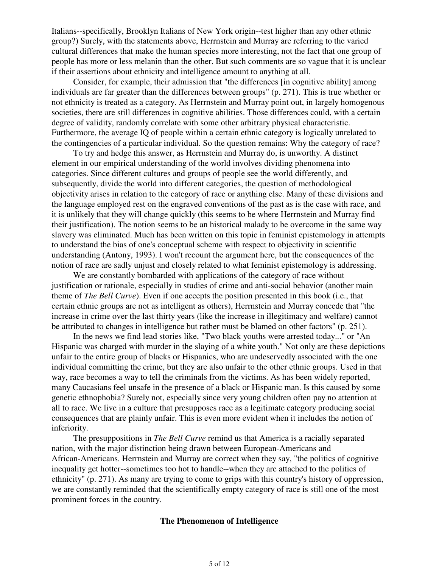Italians--specifically, Brooklyn Italians of New York origin--test higher than any other ethnic group?) Surely, with the statements above, Herrnstein and Murray are referring to the varied cultural differences that make the human species more interesting, not the fact that one group of people has more or less melanin than the other. But such comments are so vague that it is unclear if their assertions about ethnicity and intelligence amount to anything at all.

Consider, for example, their admission that "the differences [in cognitive ability] among individuals are far greater than the differences between groups" (p. 271). This is true whether or not ethnicity is treated as a category. As Herrnstein and Murray point out, in largely homogenous societies, there are still differences in cognitive abilities. Those differences could, with a certain degree of validity, randomly correlate with some other arbitrary physical characteristic. Furthermore, the average IQ of people within a certain ethnic category is logically unrelated to the contingencies of a particular individual. So the question remains: Why the category of race?

To try and hedge this answer, as Herrnstein and Murray do, is unworthy. A distinct element in our empirical understanding of the world involves dividing phenomena into categories. Since different cultures and groups of people see the world differently, and subsequently, divide the world into different categories, the question of methodological objectivity arises in relation to the category of race or anything else. Many of these divisions and the language employed rest on the engraved conventions of the past as is the case with race, and it is unlikely that they will change quickly (this seems to be where Herrnstein and Murray find their justification). The notion seems to be an historical malady to be overcome in the same way slavery was eliminated. Much has been written on this topic in feminist epistemology in attempts to understand the bias of one's conceptual scheme with respect to objectivity in scientific understanding (Antony, 1993). I won't recount the argument here, but the consequences of the notion of race are sadly unjust and closely related to what feminist epistemology is addressing.

We are constantly bombarded with applications of the category of race without justification or rationale, especially in studies of crime and anti-social behavior (another main theme of *The Bell Curve*). Even if one accepts the position presented in this book (i.e., that certain ethnic groups are not as intelligent as others), Herrnstein and Murray concede that "the increase in crime over the last thirty years (like the increase in illegitimacy and welfare) cannot be attributed to changes in intelligence but rather must be blamed on other factors" (p. 251).

In the news we find lead stories like, "Two black youths were arrested today..." or "An Hispanic was charged with murder in the slaying of a white youth." Not only are these depictions unfair to the entire group of blacks or Hispanics, who are undeservedly associated with the one individual committing the crime, but they are also unfair to the other ethnic groups. Used in that way, race becomes a way to tell the criminals from the victims. As has been widely reported, many Caucasians feel unsafe in the presence of a black or Hispanic man. Is this caused by some genetic ethnophobia? Surely not, especially since very young children often pay no attention at all to race. We live in a culture that presupposes race as a legitimate category producing social consequences that are plainly unfair. This is even more evident when it includes the notion of inferiority.

The presuppositions in *The Bell Curve* remind us that America is a racially separated nation, with the major distinction being drawn between European-Americans and African-Americans. Herrnstein and Murray are correct when they say, "the politics of cognitive inequality get hotter--sometimes too hot to handle--when they are attached to the politics of ethnicity" (p. 271). As many are trying to come to grips with this country's history of oppression, we are constantly reminded that the scientifically empty category of race is still one of the most prominent forces in the country.

# **The Phenomenon of Intelligence**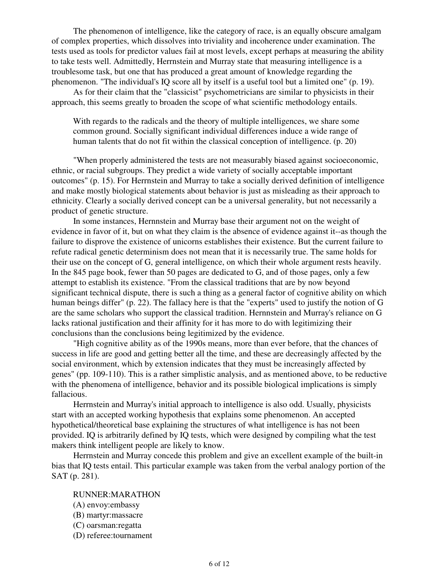The phenomenon of intelligence, like the category of race, is an equally obscure amalgam of complex properties, which dissolves into triviality and incoherence under examination. The tests used as tools for predictor values fail at most levels, except perhaps at measuring the ability to take tests well. Admittedly, Herrnstein and Murray state that measuring intelligence is a troublesome task, but one that has produced a great amount of knowledge regarding the phenomenon. "The individual's IQ score all by itself is a useful tool but a limited one" (p. 19).

As for their claim that the "classicist" psychometricians are similar to physicists in their approach, this seems greatly to broaden the scope of what scientific methodology entails.

With regards to the radicals and the theory of multiple intelligences, we share some common ground. Socially significant individual differences induce a wide range of human talents that do not fit within the classical conception of intelligence. (p. 20)

"When properly administered the tests are not measurably biased against socioeconomic, ethnic, or racial subgroups. They predict a wide variety of socially acceptable important outcomes" (p. 15). For Herrnstein and Murray to take a socially derived definition of intelligence and make mostly biological statements about behavior is just as misleading as their approach to ethnicity. Clearly a socially derived concept can be a universal generality, but not necessarily a product of genetic structure.

In some instances, Hernnstein and Murray base their argument not on the weight of evidence in favor of it, but on what they claim is the absence of evidence against it--as though the failure to disprove the existence of unicorns establishes their existence. But the current failure to refute radical genetic determinism does not mean that it is necessarily true. The same holds for their use on the concept of G, general intelligence, on which their whole argument rests heavily. In the 845 page book, fewer than 50 pages are dedicated to G, and of those pages, only a few attempt to establish its existence. "From the classical traditions that are by now beyond significant technical dispute, there is such a thing as a general factor of cognitive ability on which human beings differ" (p. 22). The fallacy here is that the "experts" used to justify the notion of G are the same scholars who support the classical tradition. Hernnstein and Murray's reliance on G lacks rational justification and their affinity for it has more to do with legitimizing their conclusions than the conclusions being legitimized by the evidence.

"High cognitive ability as of the 1990s means, more than ever before, that the chances of success in life are good and getting better all the time, and these are decreasingly affected by the social environment, which by extension indicates that they must be increasingly affected by genes" (pp. 109-110). This is a rather simplistic analysis, and as mentioned above, to be reductive with the phenomena of intelligence, behavior and its possible biological implications is simply fallacious.

Herrnstein and Murray's initial approach to intelligence is also odd. Usually, physicists start with an accepted working hypothesis that explains some phenomenon. An accepted hypothetical/theoretical base explaining the structures of what intelligence is has not been provided. IQ is arbitrarily defined by IQ tests, which were designed by compiling what the test makers think intelligent people are likely to know.

Herrnstein and Murray concede this problem and give an excellent example of the built-in bias that IQ tests entail. This particular example was taken from the verbal analogy portion of the SAT (p. 281).

# RUNNER:MARATHON

- (A) envoy:embassy
- (B) martyr:massacre
- (C) oarsman:regatta
- (D) referee:tournament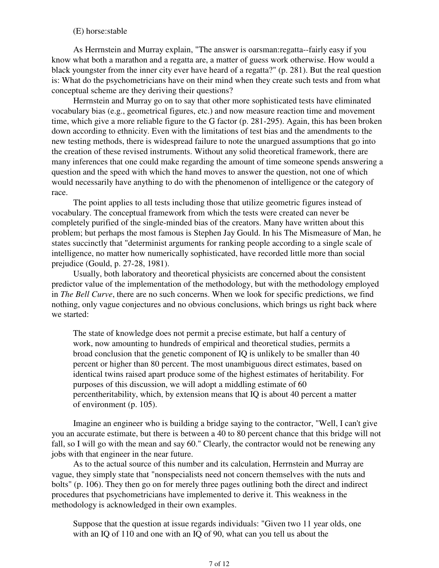# (E) horse:stable

As Herrnstein and Murray explain, "The answer is oarsman:regatta--fairly easy if you know what both a marathon and a regatta are, a matter of guess work otherwise. How would a black youngster from the inner city ever have heard of a regatta?" (p. 281). But the real question is: What do the psychometricians have on their mind when they create such tests and from what conceptual scheme are they deriving their questions?

Herrnstein and Murray go on to say that other more sophisticated tests have eliminated vocabulary bias (e.g., geometrical figures, etc.) and now measure reaction time and movement time, which give a more reliable figure to the G factor (p. 281-295). Again, this has been broken down according to ethnicity. Even with the limitations of test bias and the amendments to the new testing methods, there is widespread failure to note the unargued assumptions that go into the creation of these revised instruments. Without any solid theoretical framework, there are many inferences that one could make regarding the amount of time someone spends answering a question and the speed with which the hand moves to answer the question, not one of which would necessarily have anything to do with the phenomenon of intelligence or the category of race.

The point applies to all tests including those that utilize geometric figures instead of vocabulary. The conceptual framework from which the tests were created can never be completely purified of the single-minded bias of the creators. Many have written about this problem; but perhaps the most famous is Stephen Jay Gould. In his The Mismeasure of Man, he states succinctly that "determinist arguments for ranking people according to a single scale of intelligence, no matter how numerically sophisticated, have recorded little more than social prejudice (Gould, p. 27-28, 1981).

Usually, both laboratory and theoretical physicists are concerned about the consistent predictor value of the implementation of the methodology, but with the methodology employed in *The Bell Curve*, there are no such concerns. When we look for specific predictions, we find nothing, only vague conjectures and no obvious conclusions, which brings us right back where we started:

The state of knowledge does not permit a precise estimate, but half a century of work, now amounting to hundreds of empirical and theoretical studies, permits a broad conclusion that the genetic component of IQ is unlikely to be smaller than 40 percent or higher than 80 percent. The most unambiguous direct estimates, based on identical twins raised apart produce some of the highest estimates of heritability. For purposes of this discussion, we will adopt a middling estimate of 60 percentheritability, which, by extension means that IQ is about 40 percent a matter of environment (p. 105).

Imagine an engineer who is building a bridge saying to the contractor, "Well, I can't give you an accurate estimate, but there is between a 40 to 80 percent chance that this bridge will not fall, so I will go with the mean and say 60." Clearly, the contractor would not be renewing any jobs with that engineer in the near future.

As to the actual source of this number and its calculation, Herrnstein and Murray are vague, they simply state that "nonspecialists need not concern themselves with the nuts and bolts" (p. 106). They then go on for merely three pages outlining both the direct and indirect procedures that psychometricians have implemented to derive it. This weakness in the methodology is acknowledged in their own examples.

Suppose that the question at issue regards individuals: "Given two 11 year olds, one with an IQ of 110 and one with an IQ of 90, what can you tell us about the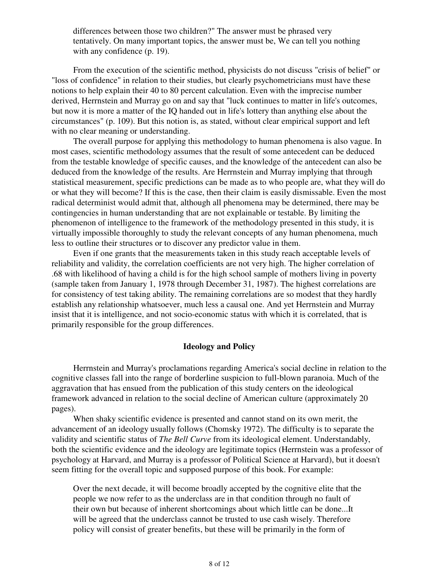differences between those two children?" The answer must be phrased very tentatively. On many important topics, the answer must be, We can tell you nothing with any confidence (p. 19).

From the execution of the scientific method, physicists do not discuss "crisis of belief" or "loss of confidence" in relation to their studies, but clearly psychometricians must have these notions to help explain their 40 to 80 percent calculation. Even with the imprecise number derived, Herrnstein and Murray go on and say that "luck continues to matter in life's outcomes, but now it is more a matter of the IQ handed out in life's lottery than anything else about the circumstances" (p. 109). But this notion is, as stated, without clear empirical support and left with no clear meaning or understanding.

The overall purpose for applying this methodology to human phenomena is also vague. In most cases, scientific methodology assumes that the result of some antecedent can be deduced from the testable knowledge of specific causes, and the knowledge of the antecedent can also be deduced from the knowledge of the results. Are Herrnstein and Murray implying that through statistical measurement, specific predictions can be made as to who people are, what they will do or what they will become? If this is the case, then their claim is easily dismissable. Even the most radical determinist would admit that, although all phenomena may be determined, there may be contingencies in human understanding that are not explainable or testable. By limiting the phenomenon of intelligence to the framework of the methodology presented in this study, it is virtually impossible thoroughly to study the relevant concepts of any human phenomena, much less to outline their structures or to discover any predictor value in them.

Even if one grants that the measurements taken in this study reach acceptable levels of reliability and validity, the correlation coefficients are not very high. The higher correlation of .68 with likelihood of having a child is for the high school sample of mothers living in poverty (sample taken from January 1, 1978 through December 31, 1987). The highest correlations are for consistency of test taking ability. The remaining correlations are so modest that they hardly establish any relationship whatsoever, much less a causal one. And yet Herrnstein and Murray insist that it is intelligence, and not socio-economic status with which it is correlated, that is primarily responsible for the group differences.

#### **Ideology and Policy**

Herrnstein and Murray's proclamations regarding America's social decline in relation to the cognitive classes fall into the range of borderline suspicion to full-blown paranoia. Much of the aggravation that has ensued from the publication of this study centers on the ideological framework advanced in relation to the social decline of American culture (approximately 20 pages).

When shaky scientific evidence is presented and cannot stand on its own merit, the advancement of an ideology usually follows (Chomsky 1972). The difficulty is to separate the validity and scientific status of *The Bell Curve* from its ideological element. Understandably, both the scientific evidence and the ideology are legitimate topics (Herrnstein was a professor of psychology at Harvard, and Murray is a professor of Political Science at Harvard), but it doesn't seem fitting for the overall topic and supposed purpose of this book. For example:

Over the next decade, it will become broadly accepted by the cognitive elite that the people we now refer to as the underclass are in that condition through no fault of their own but because of inherent shortcomings about which little can be done...It will be agreed that the underclass cannot be trusted to use cash wisely. Therefore policy will consist of greater benefits, but these will be primarily in the form of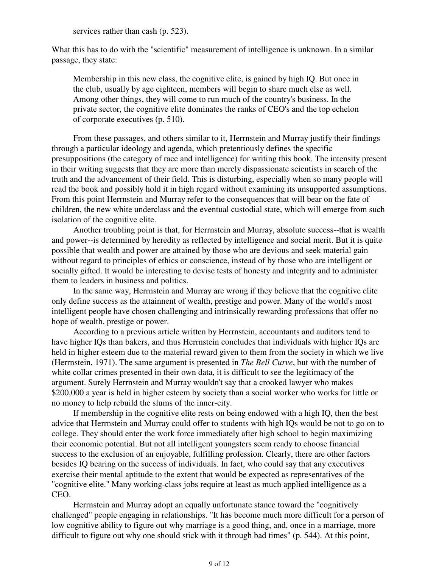services rather than cash (p. 523).

What this has to do with the "scientific" measurement of intelligence is unknown. In a similar passage, they state:

Membership in this new class, the cognitive elite, is gained by high IQ. But once in the club, usually by age eighteen, members will begin to share much else as well. Among other things, they will come to run much of the country's business. In the private sector, the cognitive elite dominates the ranks of CEO's and the top echelon of corporate executives (p. 510).

From these passages, and others similar to it, Herrnstein and Murray justify their findings through a particular ideology and agenda, which pretentiously defines the specific presuppositions (the category of race and intelligence) for writing this book. The intensity present in their writing suggests that they are more than merely dispassionate scientists in search of the truth and the advancement of their field. This is disturbing, especially when so many people will read the book and possibly hold it in high regard without examining its unsupported assumptions. From this point Herrnstein and Murray refer to the consequences that will bear on the fate of children, the new white underclass and the eventual custodial state, which will emerge from such isolation of the cognitive elite.

Another troubling point is that, for Herrnstein and Murray, absolute success--that is wealth and power--is determined by heredity as reflected by intelligence and social merit. But it is quite possible that wealth and power are attained by those who are devious and seek material gain without regard to principles of ethics or conscience, instead of by those who are intelligent or socially gifted. It would be interesting to devise tests of honesty and integrity and to administer them to leaders in business and politics.

In the same way, Herrnstein and Murray are wrong if they believe that the cognitive elite only define success as the attainnent of wealth, prestige and power. Many of the world's most intelligent people have chosen challenging and intrinsically rewarding professions that offer no hope of wealth, prestige or power.

According to a previous article written by Herrnstein, accountants and auditors tend to have higher IQs than bakers, and thus Herrnstein concludes that individuals with higher IQs are held in higher esteem due to the material reward given to them from the society in which we live (Herrnstein, 1971). The same argument is presented in *The Bell Curve*, but with the number of white collar crimes presented in their own data, it is difficult to see the legitimacy of the argument. Surely Herrnstein and Murray wouldn't say that a crooked lawyer who makes \$200,000 a year is held in higher esteem by society than a social worker who works for little or no money to help rebuild the slums of the inner-city.

If membership in the cognitive elite rests on being endowed with a high IQ, then the best advice that Herrnstein and Murray could offer to students with high IQs would be not to go on to college. They should enter the work force immediately after high school to begin maximizing their economic potential. But not all intelligent youngsters seem ready to choose financial success to the exclusion of an enjoyable, fulfilling profession. Clearly, there are other factors besides IQ bearing on the success of individuals. In fact, who could say that any executives exercise their mental aptitude to the extent that would be expected as representatives of the "cognitive elite." Many working-class jobs require at least as much applied intelligence as a CEO.

Herrnstein and Murray adopt an equally unfortunate stance toward the "cognitively challenged" people engaging in relationships. "It has become much more difficult for a person of low cognitive ability to figure out why marriage is a good thing, and, once in a marriage, more difficult to figure out why one should stick with it through bad times" (p. 544). At this point,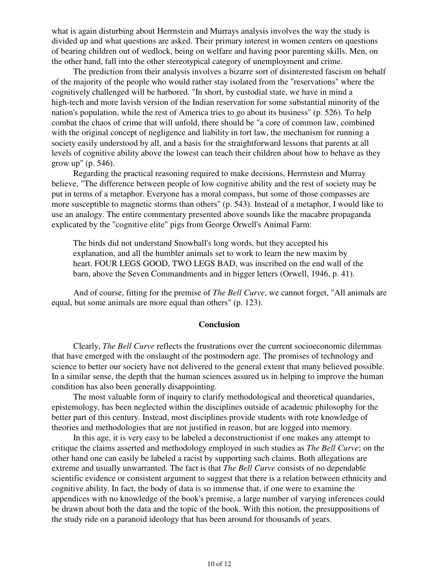what is again disturbing about Herrnstein and Murrays analysis involves the way the study is divided up and what questions are asked. Their primary interest in women centers on questions of bearing children out of wedlock, being on welfare and having poor parenting skills. Men, on the other hand, fall into the other stereotypical category of unemployment and crime.

The prediction from their analysis involves a bizarre sort of disinterested fascism on behalf of the majority of the people who would rather stay isolated from the "reservations" where the cognitively challenged will be harbored. "In short, by custodial state, we have in mind a high-tech and more lavish version of the Indian reservation for some substantial minority of the nation's population, while the rest of America tries to go about its business" (p. 526). To help combat the chaos of crime that will unfold, there should be "a core of common law, combined with the original concept of negligence and liability in tort law, the mechanism for running a society easily understood by all, and a basis for the straightforward lessons that parents at all levels of cognitive ability above the lowest can teach their children about how to behave as they grow up" (p. 546).

Regarding the practical reasoning required to make decisions, Herrnstein and Murray believe, "The difference between people of low cognitive ability and the rest of society may be put in terms of a metaphor. Everyone has a moral compass, but some of those compasses are more susceptible to magnetic storms than others" (p. 543). Instead of a metaphor, I would like to use an analogy. The entire commentary presented above sounds like the macabre propaganda explicated by the "cognitive elite" pigs from George Orwell's Animal Farm:

The birds did not understand Snowball's long words, but they accepted his explanation, and all the humbler animals set to work to learn the new maxim by heart. FOUR LEGS GOOD, TWO LEGS BAD, was inscribed on the end wall of the barn, above the Seven Commandments and in bigger letters (Orwell, 1946, p. 41).

And of course, fitting for the premise of *The Bell Curve*, we cannot forget, "All animals are equal, but some animals are more equal than others" (p. 123).

# **Conclusion**

Clearly, *The Bell Curve* reflects the frustrations over the current socioeconomic dilemmas that have emerged with the onslaught of the postmodern age. The promises of technology and science to better our society have not delivered to the general extent that many believed possible. In a similar sense, the depth that the human sciences assured us in helping to improve the human condition has also been generally disappointing.

The most valuable form of inquiry to clarify methodological and theoretical quandaries, epistemology, has been neglected within the disciplines outside of academic philosophy for the better part of this century. Instead, most disciplines provide students with rote knowledge of theories and methodologies that are not justified in reason, but are logged into memory.

In this age, it is very easy to be labeled a deconstructionist if one makes any attempt to critique the claims asserted and methodology employed in such studies as *The Bell Curve*; on the other hand one can easily be labeled a racist by supporting such claims. Both allegations are extreme and usually unwarranted. The fact is that *The Bell Curve* consists of no dependable scientific evidence or consistent argument to suggest that there is a relation between ethnicity and cognitive ability. In fact, the body of data is so immense that, if one were to examine the appendices with no knowledge of the book's premise, a large number of varying inferences could be drawn about both the data and the topic of the book. With this notion, the presuppositions of the study ride on a paranoid ideology that has been around for thousands of years.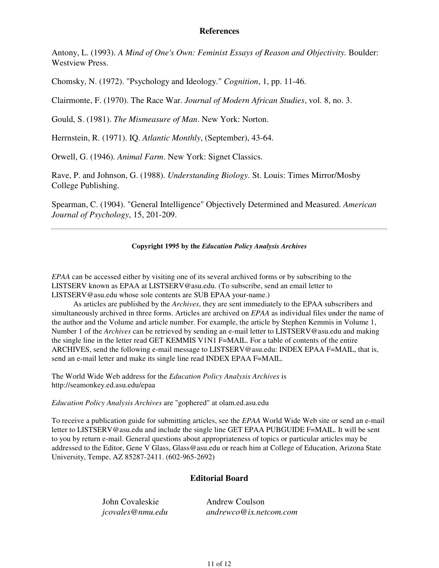### **References**

Antony, L. (1993). *A Mind of One's Own: Feminist Essays of Reason and Objectivity.* Boulder: Westview Press.

Chomsky, N. (1972). "Psychology and Ideology." *Cognition*, 1, pp. 11-46.

Clairmonte, F. (1970). The Race War. *Journal of Modern African Studies*, vol. 8, no. 3.

Gould, S. (1981). *The Mismeasure of Man*. New York: Norton.

Herrnstein, R. (1971). IQ. *Atlantic Monthly*, (September), 43-64.

Orwell, G. (1946). *Animal Farm*. New York: Signet Classics.

Rave, P. and Johnson, G. (1988). *Understanding Biology*. St. Louis: Times Mirror/Mosby College Publishing.

Spearman, C. (1904). "General Intelligence" Objectively Determined and Measured. *American Journal of Psychology*, 15, 201-209.

#### **Copyright 1995 by the** *Education Policy Analysis Archives*

*EPAA* can be accessed either by visiting one of its several archived forms or by subscribing to the LISTSERV known as EPAA at LISTSERV@asu.edu. (To subscribe, send an email letter to LISTSERV@asu.edu whose sole contents are SUB EPAA your-name.)

As articles are published by the *Archives*, they are sent immediately to the EPAA subscribers and simultaneously archived in three forms. Articles are archived on *EPAA* as individual files under the name of the author and the Volume and article number. For example, the article by Stephen Kemmis in Volume 1, Number 1 of the *Archives* can be retrieved by sending an e-mail letter to LISTSERV@asu.edu and making the single line in the letter read GET KEMMIS V1N1 F=MAIL. For a table of contents of the entire ARCHIVES, send the following e-mail message to LISTSERV@asu.edu: INDEX EPAA F=MAIL, that is, send an e-mail letter and make its single line read INDEX EPAA F=MAIL.

The World Wide Web address for the *Education Policy Analysis Archives* is http://seamonkey.ed.asu.edu/epaa

*Education Policy Analysis Archives* are "gophered" at olam.ed.asu.edu

To receive a publication guide for submitting articles, see the *EPAA* World Wide Web site or send an e-mail letter to LISTSERV@asu.edu and include the single line GET EPAA PUBGUIDE F=MAIL. It will be sent to you by return e-mail. General questions about appropriateness of topics or particular articles may be addressed to the Editor, Gene V Glass, Glass@asu.edu or reach him at College of Education, Arizona State University, Tempe, AZ 85287-2411. (602-965-2692)

# **Editorial Board**

| John Covaleskie  | <b>Andrew Coulson</b>     |
|------------------|---------------------------|
| jcovales@nmu.edu | $and$ rewco@ix.netcom.com |